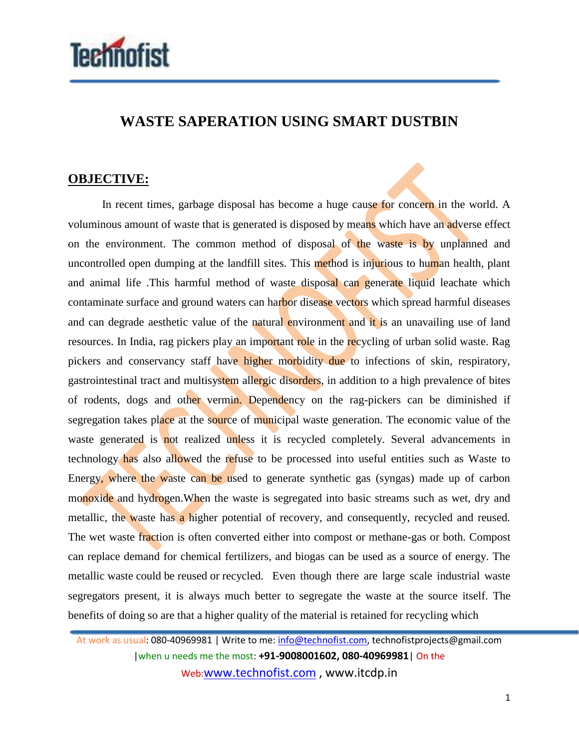

## **WASTE SAPERATION USING SMART DUSTBIN**

## **OBJECTIVE:**

In recent times, garbage disposal has become a huge cause for concern in the world. A voluminous amount of waste that is generated is disposed by means which have an adverse effect on the environment. The common method of disposal of the waste is by unplanned and uncontrolled open dumping at the landfill sites. This method is injurious to human health, plant and animal life .This harmful method of waste disposal can generate liquid leachate which contaminate surface and ground waters can harbor disease vectors which spread harmful diseases and can degrade aesthetic value of the natural environment and it is an unavailing use of land resources. In India, rag pickers play an important role in the recycling of urban solid waste. Rag pickers and conservancy staff have higher morbidity due to infections of skin, respiratory, gastrointestinal tract and multisystem allergic disorders, in addition to a high prevalence of bites of rodents, dogs and other vermin. Dependency on the rag-pickers can be diminished if segregation takes place at the source of municipal waste generation. The economic value of the waste generated is not realized unless it is recycled completely. Several advancements in technology has also allowed the refuse to be processed into useful entities such as Waste to Energy, where the waste can be used to generate synthetic gas (syngas) made up of carbon monoxide and hydrogen. When the waste is segregated into basic streams such as wet, dry and metallic, the waste has a higher potential of recovery, and consequently, recycled and reused. The wet waste fraction is often converted either into compost or methane-gas or both. Compost can replace demand for chemical fertilizers, and biogas can be used as a source of energy. The metallic waste could be reused or recycled. Even though there are large scale industrial waste segregators present, it is always much better to segregate the waste at the source itself. The benefits of doing so are that a higher quality of the material is retained for recycling which

At work as usual: 080-40969981 | Write to me: info@technofist.com, technofistprojects@gmail.com |when u needs me the most: **+91-9008001602, 080-40969981**| On the Web:www.technofist.com , www.itcdp.in